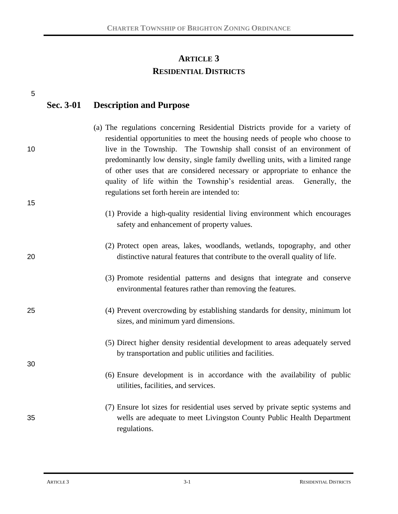# **ARTICLE 3 RESIDENTIAL DISTRICTS**

| 5  | Sec. 3-01 | <b>Description and Purpose</b>                                                                                                                                                                                                                                                                                                                                                                                                                                                                                                  |
|----|-----------|---------------------------------------------------------------------------------------------------------------------------------------------------------------------------------------------------------------------------------------------------------------------------------------------------------------------------------------------------------------------------------------------------------------------------------------------------------------------------------------------------------------------------------|
| 10 |           | (a) The regulations concerning Residential Districts provide for a variety of<br>residential opportunities to meet the housing needs of people who choose to<br>live in the Township. The Township shall consist of an environment of<br>predominantly low density, single family dwelling units, with a limited range<br>of other uses that are considered necessary or appropriate to enhance the<br>quality of life within the Township's residential areas. Generally, the<br>regulations set forth herein are intended to: |
| 15 |           | (1) Provide a high-quality residential living environment which encourages                                                                                                                                                                                                                                                                                                                                                                                                                                                      |
|    |           | safety and enhancement of property values.                                                                                                                                                                                                                                                                                                                                                                                                                                                                                      |
| 20 |           | (2) Protect open areas, lakes, woodlands, wetlands, topography, and other<br>distinctive natural features that contribute to the overall quality of life.                                                                                                                                                                                                                                                                                                                                                                       |
|    |           | (3) Promote residential patterns and designs that integrate and conserve<br>environmental features rather than removing the features.                                                                                                                                                                                                                                                                                                                                                                                           |
| 25 |           | (4) Prevent overcrowding by establishing standards for density, minimum lot<br>sizes, and minimum yard dimensions.                                                                                                                                                                                                                                                                                                                                                                                                              |
| 30 |           | (5) Direct higher density residential development to areas adequately served<br>by transportation and public utilities and facilities.                                                                                                                                                                                                                                                                                                                                                                                          |
|    |           | (6) Ensure development is in accordance with the availability of public<br>utilities, facilities, and services.                                                                                                                                                                                                                                                                                                                                                                                                                 |
| 35 |           | (7) Ensure lot sizes for residential uses served by private septic systems and<br>wells are adequate to meet Livingston County Public Health Department<br>regulations.                                                                                                                                                                                                                                                                                                                                                         |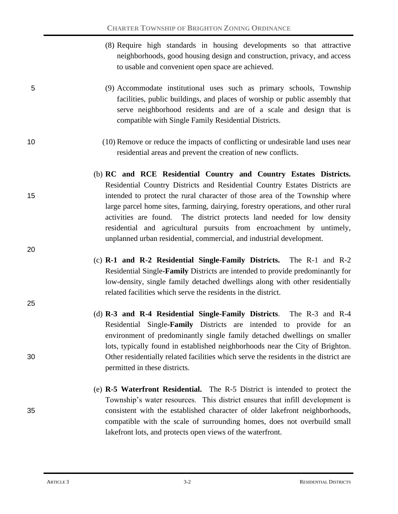- (8) Require high standards in housing developments so that attractive neighborhoods, good housing design and construction, privacy, and access to usable and convenient open space are achieved.
- 5 (9) Accommodate institutional uses such as primary schools, Township facilities, public buildings, and places of worship or public assembly that serve neighborhood residents and are of a scale and design that is compatible with Single Family Residential Districts.
- 10 (10) Remove or reduce the impacts of conflicting or undesirable land uses near residential areas and prevent the creation of new conflicts.
- (b) **RC and RCE Residential Country and Country Estates Districts.** Residential Country Districts and Residential Country Estates Districts are 15 intended to protect the rural character of those area of the Township where large parcel home sites, farming, dairying, forestry operations, and other rural activities are found. The district protects land needed for low density residential and agricultural pursuits from encroachment by untimely, unplanned urban residential, commercial, and industrial development.
	- (c) **R-1 and R-2 Residential Single-Family Districts.** The R-1 and R-2 Residential Single**-Family** Districts are intended to provide predominantly for low-density, single family detached dwellings along with other residentially related facilities which serve the residents in the district.
- (d) **R-3 and R-4 Residential Single-Family Districts**. The R-3 and R-4 Residential Single**-Family** Districts are intended to provide for an environment of predominantly single family detached dwellings on smaller lots, typically found in established neighborhoods near the City of Brighton. 30 Other residentially related facilities which serve the residents in the district are permitted in these districts.
- (e) **R-5 Waterfront Residential.** The R-5 District is intended to protect the Township's water resources. This district ensures that infill development is 35 consistent with the established character of older lakefront neighborhoods, compatible with the scale of surrounding homes, does not overbuild small lakefront lots, and protects open views of the waterfront.

20

25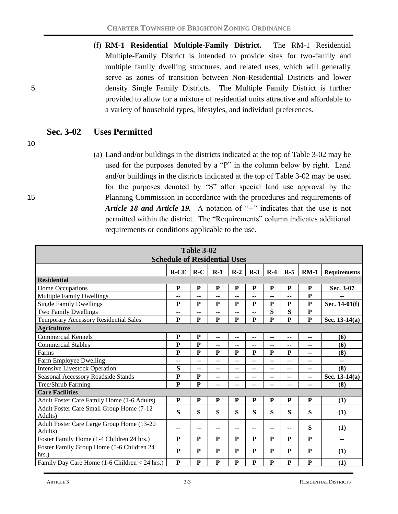(f) **RM-1 Residential Multiple-Family District.** The RM-1 Residential Multiple-Family District is intended to provide sites for two-family and multiple family dwelling structures, and related uses, which will generally serve as zones of transition between Non-Residential Districts and lower 5 density Single Family Districts. The Multiple Family District is further provided to allow for a mixture of residential units attractive and affordable to a variety of household types, lifestyles, and individual preferences.

# **Sec. 3-02 Uses Permitted**

10

(a) Land and/or buildings in the districts indicated at the top of Table 3-02 may be used for the purposes denoted by a "P" in the column below by right. Land and/or buildings in the districts indicated at the top of Table 3-02 may be used for the purposes denoted by "S" after special land use approval by the 15 Planning Commission in accordance with the procedures and requirements of *Article 18 and Article 19.* A notation of "--" indicates that the use is not permitted within the district. The "Requirements" column indicates additional requirements or conditions applicable to the use.

| <b>Table 3-02</b><br><b>Schedule of Residential Uses</b> |              |                |                          |                          |                          |                          |             |                          |                     |
|----------------------------------------------------------|--------------|----------------|--------------------------|--------------------------|--------------------------|--------------------------|-------------|--------------------------|---------------------|
|                                                          | $R$ - $CE$   | $R-C$          | $R-1$                    | $R-2$                    | $R-3$                    | $R-4$                    | $R-5$       | $RM-1$                   | <b>Requirements</b> |
| <b>Residential</b>                                       |              |                |                          |                          |                          |                          |             |                          |                     |
| Home Occupations                                         | ${\bf P}$    | ${\bf P}$      | ${\bf P}$                | ${\bf P}$                | ${\bf P}$                | ${\bf P}$                | ${\bf P}$   | ${\bf P}$                | Sec. 3-07           |
| <b>Multiple Family Dwellings</b>                         | --           | --             | --                       | --                       | --                       | --                       | -−          | $\mathbf{P}$             |                     |
| <b>Single Family Dwellings</b>                           | ${\bf P}$    | ${\bf P}$      | ${\bf P}$                | ${\bf P}$                | $\mathbf P$              | $\mathbf P$              | $\mathbf P$ | ${\bf P}$                | Sec. 14-01(f)       |
| <b>Two Family Dwellings</b>                              | --           | ۰.             | ۰.                       | --                       | --                       | S                        | S           | $\mathbf{P}$             |                     |
| Temporary Accessory Residential Sales                    | ${\bf P}$    | P              | P                        | ${\bf P}$                | ${\bf P}$                | $\mathbf{P}$             | ${\bf P}$   | ${\bf P}$                | Sec. $13-14(a)$     |
| <b>Agriculture</b>                                       |              |                |                          |                          |                          |                          |             |                          |                     |
| <b>Commercial Kennels</b>                                | ${\bf P}$    | ${\bf P}$      | $\overline{\phantom{a}}$ | ۰.                       | ۰.                       | ۰.                       | --          | ۰.                       | (6)                 |
| <b>Commercial Stables</b>                                | $\mathbf{P}$ | $\overline{P}$ | --                       | --                       | --                       | --                       | --          | --                       | (6)                 |
| Farms                                                    | ${\bf P}$    | P              | P                        | P                        | P                        | P                        | ${\bf P}$   | --                       | (8)                 |
| Farm Employee Dwelling                                   | ۰.           | --             | ٠.                       | ۰.                       | ۰.                       | ۰.                       | --          | $\overline{\phantom{a}}$ | $- -$               |
| <b>Intensive Livestock Operation</b>                     | S            | --             | --                       | --                       | --                       | --                       | --          | --                       | (8)                 |
| Seasonal Accessory Roadside Stands                       | ${\bf P}$    | P              | ٠.                       | ۰.                       | ۰.                       | ۰.                       | --          | ۰.                       | Sec. 13-14(a)       |
| Tree/Shrub Farming                                       | ${\bf P}$    | ${\bf P}$      | $\sim$ $\sim$            | $\overline{\phantom{a}}$ | $\overline{\phantom{a}}$ | $\overline{\phantom{a}}$ | --          | $\overline{\phantom{a}}$ | (8)                 |
| <b>Care Facilities</b>                                   |              |                |                          |                          |                          |                          |             |                          |                     |
| Adult Foster Care Family Home (1-6 Adults)               | ${\bf P}$    | P              | P                        | ${\bf P}$                | ${\bf P}$                | ${\bf P}$                | ${\bf P}$   | ${\bf P}$                | (1)                 |
| Adult Foster Care Small Group Home (7-12                 | S            | S              | S                        | S                        | S                        | S                        | S           | S                        | (1)                 |
| Adults)                                                  |              |                |                          |                          |                          |                          |             |                          |                     |
| Adult Foster Care Large Group Home (13-20                | --           | --             | --                       | --                       | $-$                      | $-$                      | --          | S                        | (1)                 |
| Adults)                                                  |              |                |                          |                          |                          |                          |             |                          |                     |
| Foster Family Home (1-4 Children 24 hrs.)                | P            | P              | P                        | P                        | P                        | P                        | P           | ${\bf P}$                | --                  |
| Foster Family Group Home (5-6 Children 24                | ${\bf P}$    | P              | ${\bf P}$                | P                        | P                        | ${\bf P}$                | ${\bf P}$   | ${\bf P}$                | (1)                 |
| hrs.                                                     |              |                |                          |                          |                          |                          |             |                          |                     |
| Family Day Care Home (1-6 Children < 24 hrs.)            | ${\bf P}$    | ${\bf P}$      | ${\bf P}$                | ${\bf P}$                | ${\bf P}$                | ${\bf P}$                | ${\bf P}$   | ${\bf P}$                | (1)                 |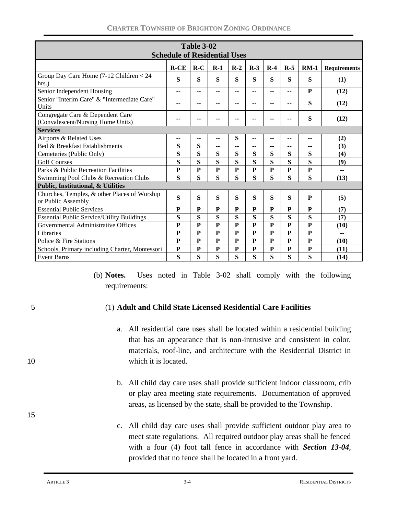| <b>Table 3-02</b><br><b>Schedule of Residential Uses</b>              |              |                |                |              |              |              |              |                          |                     |
|-----------------------------------------------------------------------|--------------|----------------|----------------|--------------|--------------|--------------|--------------|--------------------------|---------------------|
|                                                                       | $R$ - $CE$   | $R-C$          | $R-1$          | $R-2$        | $R-3$        | $R-4$        | $R-5$        | $RM-1$                   | <b>Requirements</b> |
| Group Day Care Home (7-12 Children < 24<br>hrs.                       | S            | S              | S              | S            | S            | S            | S            | S                        | (1)                 |
| Senior Independent Housing                                            | --           | $-$            | --             | $-$          | $- -$        | $- -$        | $- -$        | P                        | (12)                |
| Senior "Interim Care" & "Intermediate Care"<br>Units                  | --           | --             | --             | --           | --           | --           | --           | S                        | (12)                |
| Congregate Care & Dependent Care<br>(Convalescent/Nursing Home Units) | --           |                | --             | --           | --           | --           | --           | S                        | (12)                |
| <b>Services</b>                                                       |              |                |                |              |              |              |              |                          |                     |
| Airports & Related Uses                                               | --           | $-$            | $-$            | S            | --           | --           | --           | $\overline{\phantom{a}}$ | (2)                 |
| Bed & Breakfast Establishments                                        | S            | S              | --             | --           | --           | --           | --           | --                       | (3)                 |
| Cemeteries (Public Only)                                              | S            | S              | S              | S            | S            | S            | S            | S                        | (4)                 |
| <b>Golf Courses</b>                                                   | S            | S              | S              | S            | S            | S            | S            | S                        | (9)                 |
| Parks & Public Recreation Facilities                                  | $\mathbf{P}$ | $\overline{P}$ | $\overline{P}$ | $\mathbf{P}$ | $\mathbf{P}$ | $\mathbf{P}$ | $\mathbf{P}$ | $\mathbf{P}$             | --                  |
| Swimming Pool Clubs & Recreation Clubs                                | S            | S              | S              | S            | S            | S            | S            | S                        | (13)                |
| Public, Institutional, & Utilities                                    |              |                |                |              |              |              |              |                          |                     |
| Churches, Temples, & other Places of Worship<br>or Public Assembly    | S            | S              | S              | S            | S            | S            | S            | P                        | (5)                 |
| <b>Essential Public Services</b>                                      | ${\bf P}$    | P              | P              | P            | P            | P            | P            | P                        | (7)                 |
| <b>Essential Public Service/Utility Buildings</b>                     | S            | S              | S              | S            | S            | S            | S            | S                        | (7)                 |
| Governmental Administrative Offices                                   | P            | P              | ${\bf P}$      | P            | P            | P            | P            | P                        | (10)                |
| Libraries                                                             | ${\bf P}$    | $\mathbf{P}$   | $\overline{P}$ | ${\bf P}$    | ${\bf P}$    | ${\bf P}$    | $\mathbf{P}$ | $\mathbf{P}$             |                     |
| Police & Fire Stations                                                | ${\bf P}$    | P              | ${\bf P}$      | P            | P            | ${\bf P}$    | ${\bf P}$    | ${\bf P}$                | (10)                |
| Schools, Primary including Charter, Montessori                        | $\mathbf P$  | ${\bf P}$      | ${\bf P}$      | ${\bf P}$    | ${\bf P}$    | ${\bf P}$    | ${\bf P}$    | ${\bf P}$                | (11)                |
| <b>Event Barns</b>                                                    | S            | S              | S              | S            | S            | S            | S            | S                        | (14)                |

(b) **Notes.** Uses noted in Table 3-02 shall comply with the following requirements:

15

#### 5 (1) **Adult and Child State Licensed Residential Care Facilities**

- a. All residential care uses shall be located within a residential building that has an appearance that is non-intrusive and consistent in color, materials, roof-line, and architecture with the Residential District in 10 which it is located.
	- b. All child day care uses shall provide sufficient indoor classroom, crib or play area meeting state requirements. Documentation of approved areas, as licensed by the state, shall be provided to the Township.
	- c. All child day care uses shall provide sufficient outdoor play area to meet state regulations. All required outdoor play areas shall be fenced with a four (4) foot tall fence in accordance with *Section 13-04*, provided that no fence shall be located in a front yard.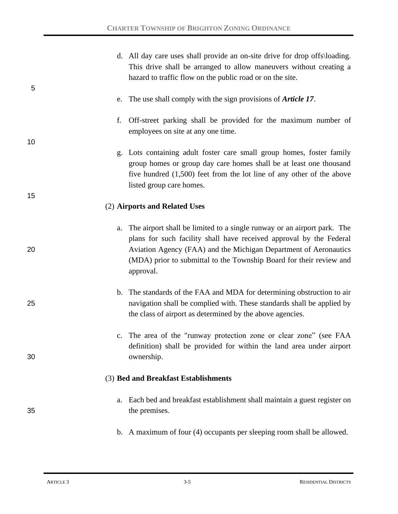|          | d. All day care uses shall provide an on-site drive for drop offs\loading.<br>This drive shall be arranged to allow maneuvers without creating a<br>hazard to traffic flow on the public road or on the site.                                                                                          |
|----------|--------------------------------------------------------------------------------------------------------------------------------------------------------------------------------------------------------------------------------------------------------------------------------------------------------|
| 5        | e. The use shall comply with the sign provisions of <i>Article 17</i> .                                                                                                                                                                                                                                |
| f.       | Off-street parking shall be provided for the maximum number of<br>employees on site at any one time.                                                                                                                                                                                                   |
| 10       | g. Lots containing adult foster care small group homes, foster family<br>group homes or group day care homes shall be at least one thousand<br>five hundred $(1,500)$ feet from the lot line of any other of the above<br>listed group care homes.                                                     |
| 15       | (2) Airports and Related Uses                                                                                                                                                                                                                                                                          |
| a.<br>20 | The airport shall be limited to a single runway or an airport park. The<br>plans for such facility shall have received approval by the Federal<br>Aviation Agency (FAA) and the Michigan Department of Aeronautics<br>(MDA) prior to submittal to the Township Board for their review and<br>approval. |
| 25       | b. The standards of the FAA and MDA for determining obstruction to air<br>navigation shall be complied with. These standards shall be applied by<br>the class of airport as determined by the above agencies.                                                                                          |
| 30       | c. The area of the "runway protection zone or clear zone" (see FAA<br>definition) shall be provided for within the land area under airport<br>ownership.                                                                                                                                               |
|          | (3) Bed and Breakfast Establishments                                                                                                                                                                                                                                                                   |
| a.<br>35 | Each bed and breakfast establishment shall maintain a guest register on<br>the premises.                                                                                                                                                                                                               |
|          | b. A maximum of four (4) occupants per sleeping room shall be allowed.                                                                                                                                                                                                                                 |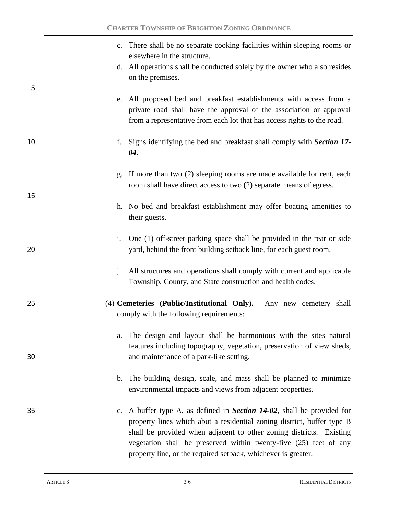|    | c. There shall be no separate cooking facilities within sleeping rooms or<br>elsewhere in the structure.                                                                                                                                                                                                                                                                 |
|----|--------------------------------------------------------------------------------------------------------------------------------------------------------------------------------------------------------------------------------------------------------------------------------------------------------------------------------------------------------------------------|
| 5  | d. All operations shall be conducted solely by the owner who also resides<br>on the premises.                                                                                                                                                                                                                                                                            |
|    | e. All proposed bed and breakfast establishments with access from a<br>private road shall have the approval of the association or approval<br>from a representative from each lot that has access rights to the road.                                                                                                                                                    |
| 10 | Signs identifying the bed and breakfast shall comply with Section 17-<br>f.<br>04.                                                                                                                                                                                                                                                                                       |
| 15 | g. If more than two (2) sleeping rooms are made available for rent, each<br>room shall have direct access to two (2) separate means of egress.                                                                                                                                                                                                                           |
|    | h. No bed and breakfast establishment may offer boating amenities to<br>their guests.                                                                                                                                                                                                                                                                                    |
| 20 | One (1) off-street parking space shall be provided in the rear or side<br>i.<br>yard, behind the front building setback line, for each guest room.                                                                                                                                                                                                                       |
|    | All structures and operations shall comply with current and applicable<br>j.<br>Township, County, and State construction and health codes.                                                                                                                                                                                                                               |
| 25 | (4) Cemeteries (Public/Institutional Only).<br>Any new cemetery shall<br>comply with the following requirements:                                                                                                                                                                                                                                                         |
| 30 | The design and layout shall be harmonious with the sites natural<br>a.<br>features including topography, vegetation, preservation of view sheds,<br>and maintenance of a park-like setting.                                                                                                                                                                              |
|    | b. The building design, scale, and mass shall be planned to minimize<br>environmental impacts and views from adjacent properties.                                                                                                                                                                                                                                        |
| 35 | A buffer type A, as defined in <i>Section 14-02</i> , shall be provided for<br>c.<br>property lines which abut a residential zoning district, buffer type B<br>shall be provided when adjacent to other zoning districts. Existing<br>vegetation shall be preserved within twenty-five (25) feet of any<br>property line, or the required setback, whichever is greater. |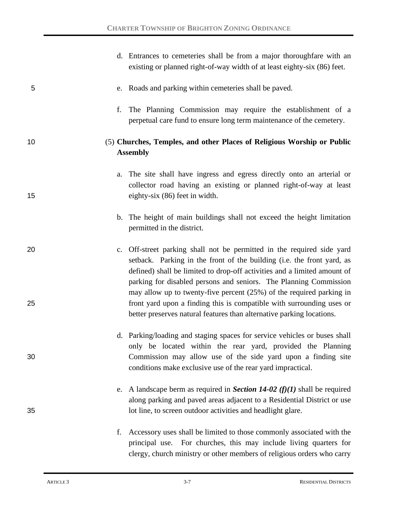|          | d. Entrances to cemeteries shall be from a major thoroughfare with an<br>existing or planned right-of-way width of at least eighty-six (86) feet.                                                                                                                                                                                                                                                                                                    |
|----------|------------------------------------------------------------------------------------------------------------------------------------------------------------------------------------------------------------------------------------------------------------------------------------------------------------------------------------------------------------------------------------------------------------------------------------------------------|
| 5        | e. Roads and parking within cemeteries shall be paved.                                                                                                                                                                                                                                                                                                                                                                                               |
|          | The Planning Commission may require the establishment of a<br>f.<br>perpetual care fund to ensure long term maintenance of the cemetery.                                                                                                                                                                                                                                                                                                             |
| 10       | (5) Churches, Temples, and other Places of Religious Worship or Public<br><b>Assembly</b>                                                                                                                                                                                                                                                                                                                                                            |
| 15       | The site shall have ingress and egress directly onto an arterial or<br>a.<br>collector road having an existing or planned right-of-way at least<br>eighty-six (86) feet in width.                                                                                                                                                                                                                                                                    |
|          | b. The height of main buildings shall not exceed the height limitation<br>permitted in the district.                                                                                                                                                                                                                                                                                                                                                 |
| 20<br>25 | c. Off-street parking shall not be permitted in the required side yard<br>setback. Parking in the front of the building (i.e. the front yard, as<br>defined) shall be limited to drop-off activities and a limited amount of<br>parking for disabled persons and seniors. The Planning Commission<br>may allow up to twenty-five percent $(25%)$ of the required parking in<br>front yard upon a finding this is compatible with surrounding uses or |
|          | better preserves natural features than alternative parking locations.                                                                                                                                                                                                                                                                                                                                                                                |
| 30       | d. Parking/loading and staging spaces for service vehicles or buses shall<br>only be located within the rear yard, provided the Planning<br>Commission may allow use of the side yard upon a finding site<br>conditions make exclusive use of the rear yard impractical.                                                                                                                                                                             |
| 35       | e. A landscape berm as required in Section 14-02 ( $f$ )(1) shall be required<br>along parking and paved areas adjacent to a Residential District or use<br>lot line, to screen outdoor activities and headlight glare.                                                                                                                                                                                                                              |
|          | Accessory uses shall be limited to those commonly associated with the<br>f.<br>principal use. For churches, this may include living quarters for<br>clergy, church ministry or other members of religious orders who carry                                                                                                                                                                                                                           |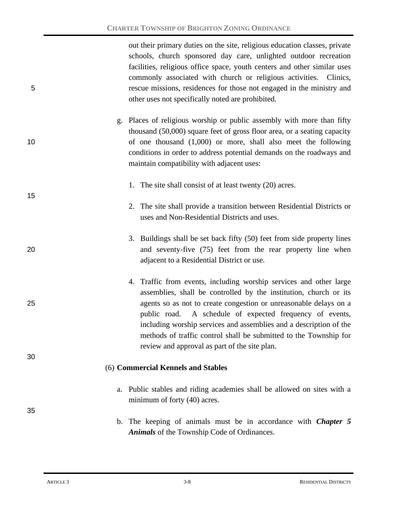out their primary duties on the site, religious education classes, private schools, church sponsored day care, unlighted outdoor recreation facilities, religious office space, youth centers and other similar uses commonly associated with church or religious activities. Clinics, 5 rescue missions, residences for those not engaged in the ministry and other uses not specifically noted are prohibited.

- g. Places of religious worship or public assembly with more than fifty thousand (50,000) square feet of gross floor area, or a seating capacity 10 of one thousand (1,000) or more, shall also meet the following conditions in order to address potential demands on the roadways and maintain compatibility with adjacent uses:
	- 1. The site shall consist of at least twenty (20) acres.
	- 2. The site shall provide a transition between Residential Districts or uses and Non-Residential Districts and uses.
- 3. Buildings shall be set back fifty (50) feet from side property lines 20 and seventy-five (75) feet from the rear property line when adjacent to a Residential District or use.
- 4. Traffic from events, including worship services and other large assemblies, shall be controlled by the institution, church or its 25 agents so as not to create congestion or unreasonable delays on a public road. A schedule of expected frequency of events, including worship services and assemblies and a description of the methods of traffic control shall be submitted to the Township for review and approval as part of the site plan.

#### (6) **Commercial Kennels and Stables**

- a. Public stables and riding academies shall be allowed on sites with a minimum of forty (40) acres.
- b. The keeping of animals must be in accordance with *Chapter 5 Animals* of the Township Code of Ordinances.

15

30

35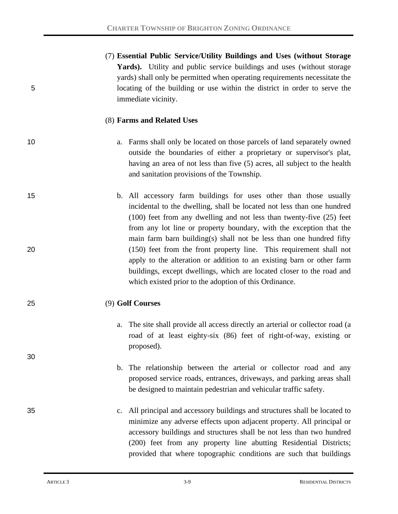|    | (7) Essential Public Service/Utility Buildings and Uses (without Storage       |
|----|--------------------------------------------------------------------------------|
|    | <b>Yards</b> ). Utility and public service buildings and uses (without storage |
|    | yards) shall only be permitted when operating requirements necessitate the     |
| 5. | locating of the building or use within the district in order to serve the      |
|    | immediate vicinity.                                                            |

#### (8) **Farms and Related Uses**

30

- 10 a. Farms shall only be located on those parcels of land separately owned outside the boundaries of either a proprietary or supervisor's plat, having an area of not less than five (5) acres, all subject to the health and sanitation provisions of the Township.
- 15 b. All accessory farm buildings for uses other than those usually incidental to the dwelling, shall be located not less than one hundred (100) feet from any dwelling and not less than twenty-five (25) feet from any lot line or property boundary, with the exception that the main farm barn building(s) shall not be less than one hundred fifty 20 (150) feet from the front property line. This requirement shall not apply to the alteration or addition to an existing barn or other farm buildings, except dwellings, which are located closer to the road and which existed prior to the adoption of this Ordinance.

## 25 (9) **Golf Courses**

- a. The site shall provide all access directly an arterial or collector road (a road of at least eighty-six (86) feet of right-of-way, existing or proposed).
- b. The relationship between the arterial or collector road and any proposed service roads, entrances, driveways, and parking areas shall be designed to maintain pedestrian and vehicular traffic safety.
- 35 c. All principal and accessory buildings and structures shall be located to minimize any adverse effects upon adjacent property. All principal or accessory buildings and structures shall be not less than two hundred (200) feet from any property line abutting Residential Districts; provided that where topographic conditions are such that buildings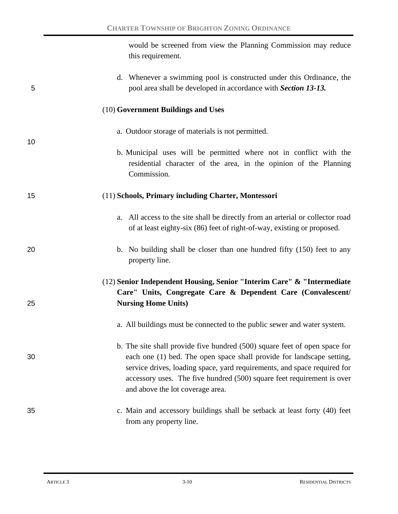would be screened from view the Planning Commission may reduce this requirement.

| 5  | d. Whenever a swimming pool is constructed under this Ordinance, the<br>pool area shall be developed in accordance with Section 13-13.                                                                                                                                                                                                        |
|----|-----------------------------------------------------------------------------------------------------------------------------------------------------------------------------------------------------------------------------------------------------------------------------------------------------------------------------------------------|
|    | (10) Government Buildings and Uses                                                                                                                                                                                                                                                                                                            |
| 10 | a. Outdoor storage of materials is not permitted.                                                                                                                                                                                                                                                                                             |
|    | b. Municipal uses will be permitted where not in conflict with the<br>residential character of the area, in the opinion of the Planning<br>Commission.                                                                                                                                                                                        |
| 15 | (11) Schools, Primary including Charter, Montessori                                                                                                                                                                                                                                                                                           |
|    | All access to the site shall be directly from an arterial or collector road<br>a.<br>of at least eighty-six (86) feet of right-of-way, existing or proposed.                                                                                                                                                                                  |
| 20 | b. No building shall be closer than one hundred fifty (150) feet to any<br>property line.                                                                                                                                                                                                                                                     |
|    | (12) Senior Independent Housing, Senior "Interim Care" & "Intermediate                                                                                                                                                                                                                                                                        |
| 25 | Care" Units, Congregate Care & Dependent Care (Convalescent/<br><b>Nursing Home Units)</b>                                                                                                                                                                                                                                                    |
|    | a. All buildings must be connected to the public sewer and water system.                                                                                                                                                                                                                                                                      |
| 30 | b. The site shall provide five hundred (500) square feet of open space for<br>each one (1) bed. The open space shall provide for landscape setting,<br>service drives, loading space, yard requirements, and space required for<br>accessory uses. The five hundred (500) square feet requirement is over<br>and above the lot coverage area. |
| 35 | c. Main and accessory buildings shall be setback at least forty (40) feet<br>from any property line.                                                                                                                                                                                                                                          |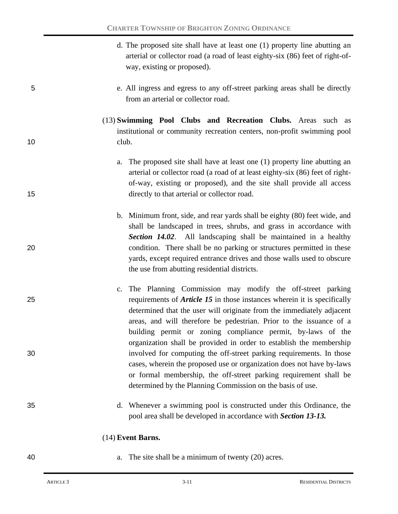- d. The proposed site shall have at least one (1) property line abutting an arterial or collector road (a road of least eighty-six (86) feet of right-ofway, existing or proposed).
- 5 e. All ingress and egress to any off-street parking areas shall be directly from an arterial or collector road.
- (13) **Swimming Pool Clubs and Recreation Clubs.** Areas such as institutional or community recreation centers, non-profit swimming pool 10 club.
- a. The proposed site shall have at least one (1) property line abutting an arterial or collector road (a road of at least eighty-six (86) feet of rightof-way, existing or proposed), and the site shall provide all access 15 directly to that arterial or collector road.
- b. Minimum front, side, and rear yards shall be eighty (80) feet wide, and shall be landscaped in trees, shrubs, and grass in accordance with *Section 14.02*. All landscaping shall be maintained in a healthy 20 condition. There shall be no parking or structures permitted in these yards, except required entrance drives and those walls used to obscure the use from abutting residential districts.
- c. The Planning Commission may modify the off-street parking 25 requirements of *Article 15* in those instances wherein it is specifically determined that the user will originate from the immediately adjacent areas, and will therefore be pedestrian. Prior to the issuance of a building permit or zoning compliance permit, by-laws of the organization shall be provided in order to establish the membership 30 involved for computing the off-street parking requirements. In those cases, wherein the proposed use or organization does not have by-laws or formal membership, the off-street parking requirement shall be determined by the Planning Commission on the basis of use.
- 35 d. Whenever a swimming pool is constructed under this Ordinance, the pool area shall be developed in accordance with *Section 13-13.*

## (14) **Event Barns.**

- 
- 40 **a.** The site shall be a minimum of twenty (20) acres.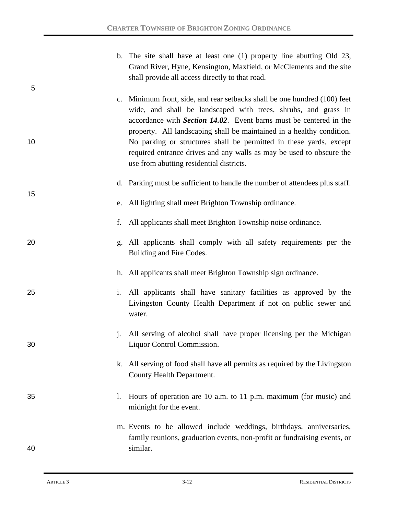| 5                    | b. The site shall have at least one (1) property line abutting Old 23,<br>Grand River, Hyne, Kensington, Maxfield, or McClements and the site<br>shall provide all access directly to that road.                                                                                                                                                                                                                                                                                             |
|----------------------|----------------------------------------------------------------------------------------------------------------------------------------------------------------------------------------------------------------------------------------------------------------------------------------------------------------------------------------------------------------------------------------------------------------------------------------------------------------------------------------------|
| 10                   | c. Minimum front, side, and rear setbacks shall be one hundred (100) feet<br>wide, and shall be landscaped with trees, shrubs, and grass in<br>accordance with <i>Section 14.02</i> . Event barns must be centered in the<br>property. All landscaping shall be maintained in a healthy condition.<br>No parking or structures shall be permitted in these yards, except<br>required entrance drives and any walls as may be used to obscure the<br>use from abutting residential districts. |
| 15                   | d. Parking must be sufficient to handle the number of attendees plus staff.                                                                                                                                                                                                                                                                                                                                                                                                                  |
|                      | e. All lighting shall meet Brighton Township ordinance.                                                                                                                                                                                                                                                                                                                                                                                                                                      |
| f.                   | All applicants shall meet Brighton Township noise ordinance.                                                                                                                                                                                                                                                                                                                                                                                                                                 |
| 20                   | All applicants shall comply with all safety requirements per the<br>g.<br>Building and Fire Codes.                                                                                                                                                                                                                                                                                                                                                                                           |
|                      | h. All applicants shall meet Brighton Township sign ordinance.                                                                                                                                                                                                                                                                                                                                                                                                                               |
| 25<br>$\mathbf{i}$ . | All applicants shall have sanitary facilities as approved by the<br>Livingston County Health Department if not on public sewer and<br>water.                                                                                                                                                                                                                                                                                                                                                 |
| $j$ .<br>30          | All serving of alcohol shall have proper licensing per the Michigan<br>Liquor Control Commission.                                                                                                                                                                                                                                                                                                                                                                                            |
|                      | k. All serving of food shall have all permits as required by the Livingston<br>County Health Department.                                                                                                                                                                                                                                                                                                                                                                                     |
| 35<br>1.             | Hours of operation are 10 a.m. to 11 p.m. maximum (for music) and<br>midnight for the event.                                                                                                                                                                                                                                                                                                                                                                                                 |
| 40                   | m. Events to be allowed include weddings, birthdays, anniversaries,<br>family reunions, graduation events, non-profit or fundraising events, or<br>similar.                                                                                                                                                                                                                                                                                                                                  |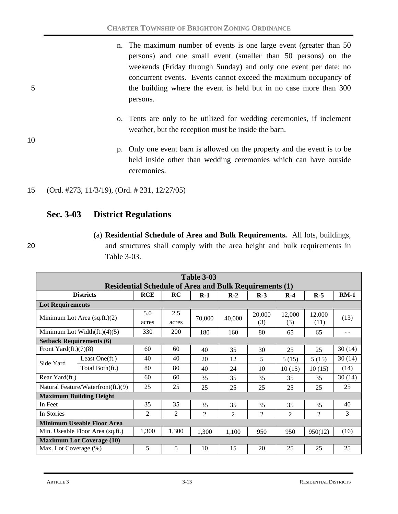- n. The maximum number of events is one large event (greater than 50) persons) and one small event (smaller than 50 persons) on the weekends (Friday through Sunday) and only one event per date; no concurrent events. Events cannot exceed the maximum occupancy of 5 the building where the event is held but in no case more than 300 persons.
	- o. Tents are only to be utilized for wedding ceremonies, if inclement weather, but the reception must be inside the barn.
	- p. Only one event barn is allowed on the property and the event is to be held inside other than wedding ceremonies which can have outside ceremonies.
- 15 (Ord. #273, 11/3/19), (Ord. # 231, 12/27/05)

# **Sec. 3-03 District Regulations**

10

(a) **Residential Schedule of Area and Bulk Requirements.** All lots, buildings, 20 and structures shall comply with the area height and bulk requirements in Table 3-03.

|                                    | <b>Table 3-03</b>                                             |                |                |                |                |                |                |                |        |
|------------------------------------|---------------------------------------------------------------|----------------|----------------|----------------|----------------|----------------|----------------|----------------|--------|
|                                    | <b>Residential Schedule of Area and Bulk Requirements (1)</b> |                |                |                |                |                |                |                |        |
|                                    | <b>Districts</b>                                              | <b>RCE</b>     | RC             | $R-1$          | $R-2$          | $R-3$          | $R-4$          | $R-5$          | $RM-1$ |
| <b>Lot Requirements</b>            |                                                               |                |                |                |                |                |                |                |        |
|                                    | Minimum Lot Area $(sq.fit.)(2)$                               | 5.0            | 2.5            |                |                | 20,000<br>(3)  | 12,000         | 12,000         | (13)   |
|                                    |                                                               | acres          | acres          | 70,000         | 40,000         |                | (3)            | (11)           |        |
|                                    | Minimum Lot Width $(ft.)(4)(5)$                               | 330            | 200            | 180            | 160            | 80             | 65             | 65             | - -    |
| <b>Setback Requirements (6)</b>    |                                                               |                |                |                |                |                |                |                |        |
| Front Yard $(ft.)(7)(8)$           |                                                               | 60             | 60             | 40             | 35             | 30             | 25             | 25             | 30(14) |
| Side Yard                          | Least One(ft.)                                                | 40             | 40             | 20             | 12             | 5              | 5(15)          | 5(15)          | 30(14) |
|                                    | Total Both(ft.)                                               | 80             | 80             | 40             | 24             | 10             | 10(15)         | 10(15)         | (14)   |
| Rear Yard(ft.)                     |                                                               | 60             | 60             | 35             | 35             | 35             | 35             | 35             | 30(14) |
| Natural Feature/Waterfront(ft.)(9) |                                                               | 25             | 25             | 25             | 25             | 25             | 25             | 25             | 25     |
|                                    | <b>Maximum Building Height</b>                                |                |                |                |                |                |                |                |        |
| In Feet                            |                                                               | 35             | 35             | 35             | 35             | 35             | 35             | 35             | 40     |
| In Stories                         |                                                               | $\overline{2}$ | $\overline{c}$ | $\overline{2}$ | $\overline{2}$ | $\overline{2}$ | $\overline{c}$ | $\overline{2}$ | 3      |
|                                    | <b>Minimum Useable Floor Area</b>                             |                |                |                |                |                |                |                |        |
| Min. Useable Floor Area (sq.ft.)   |                                                               | 1,300          | 1,300          | 1,300          | 1,100          | 950            | 950            | 950(12)        | (16)   |
|                                    | <b>Maximum Lot Coverage (10)</b>                              |                |                |                |                |                |                |                |        |
| Max. Lot Coverage (%)              |                                                               | 5              | 5              | 10             | 15             | 20             | 25             | 25             | 25     |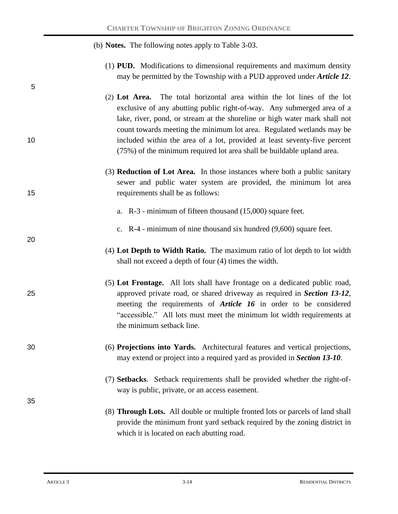|    | (b) <b>Notes.</b> The following notes apply to Table 3-03.                                                                                                                                                                                                                                                                                                                                                                                                      |
|----|-----------------------------------------------------------------------------------------------------------------------------------------------------------------------------------------------------------------------------------------------------------------------------------------------------------------------------------------------------------------------------------------------------------------------------------------------------------------|
| 5  | (1) PUD. Modifications to dimensional requirements and maximum density<br>may be permitted by the Township with a PUD approved under <i>Article 12</i> .                                                                                                                                                                                                                                                                                                        |
| 10 | (2) Lot Area. The total horizontal area within the lot lines of the lot<br>exclusive of any abutting public right-of-way. Any submerged area of a<br>lake, river, pond, or stream at the shoreline or high water mark shall not<br>count towards meeting the minimum lot area. Regulated wetlands may be<br>included within the area of a lot, provided at least seventy-five percent<br>(75%) of the minimum required lot area shall be buildable upland area. |
| 15 | (3) <b>Reduction of Lot Area.</b> In those instances where both a public sanitary<br>sewer and public water system are provided, the minimum lot area<br>requirements shall be as follows:                                                                                                                                                                                                                                                                      |
|    | a. $R-3$ - minimum of fifteen thousand (15,000) square feet.                                                                                                                                                                                                                                                                                                                                                                                                    |
| 20 | c. $R-4$ - minimum of nine thousand six hundred $(9,600)$ square feet.                                                                                                                                                                                                                                                                                                                                                                                          |
|    | (4) Lot Depth to Width Ratio. The maximum ratio of lot depth to lot width<br>shall not exceed a depth of four (4) times the width.                                                                                                                                                                                                                                                                                                                              |
| 25 | (5) Lot Frontage. All lots shall have frontage on a dedicated public road,<br>approved private road, or shared driveway as required in Section 13-12,<br>meeting the requirements of <i>Article 16</i> in order to be considered<br>"accessible." All lots must meet the minimum lot width requirements at<br>the minimum setback line.                                                                                                                         |
| 30 | (6) Projections into Yards. Architectural features and vertical projections,<br>may extend or project into a required yard as provided in Section 13-10.                                                                                                                                                                                                                                                                                                        |
| 35 | (7) Setbacks. Setback requirements shall be provided whether the right-of-<br>way is public, private, or an access easement.                                                                                                                                                                                                                                                                                                                                    |
|    | (8) Through Lots. All double or multiple fronted lots or parcels of land shall<br>provide the minimum front yard setback required by the zoning district in<br>which it is located on each abutting road.                                                                                                                                                                                                                                                       |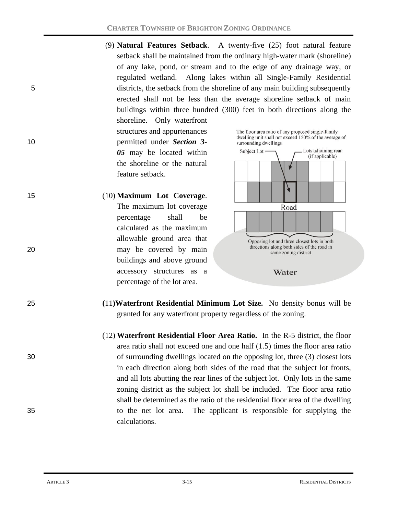(9) **Natural Features Setback**. A twenty-five (25) foot natural feature setback shall be maintained from the ordinary high-water mark (shoreline) of any lake, pond, or stream and to the edge of any drainage way, or regulated wetland. Along lakes within all Single-Family Residential 5 districts, the setback from the shoreline of any main building subsequently erected shall not be less than the average shoreline setback of main buildings within three hundred (300) feet in both directions along the

shoreline. Only waterfront structures and appurtenances 10 permitted under *Section 3- 05* may be located within the shoreline or the natural feature setback.

15 (10) **Maximum Lot Coverage**. The maximum lot coverage percentage shall be calculated as the maximum allowable ground area that 20 may be covered by main buildings and above ground accessory structures as a percentage of the lot area.

The floor area ratio of any proposed single-family dwelling unit shall not exceed 150% of the average of surrounding dwellings



- 25 **(**11**)Waterfront Residential Minimum Lot Size.** No density bonus will be granted for any waterfront property regardless of the zoning.
- (12) **Waterfront Residential Floor Area Ratio.** In the R-5 district, the floor area ratio shall not exceed one and one half (1.5) times the floor area ratio 30 of surrounding dwellings located on the opposing lot, three (3) closest lots in each direction along both sides of the road that the subject lot fronts, and all lots abutting the rear lines of the subject lot. Only lots in the same zoning district as the subject lot shall be included. The floor area ratio shall be determined as the ratio of the residential floor area of the dwelling 35 to the net lot area. The applicant is responsible for supplying the calculations.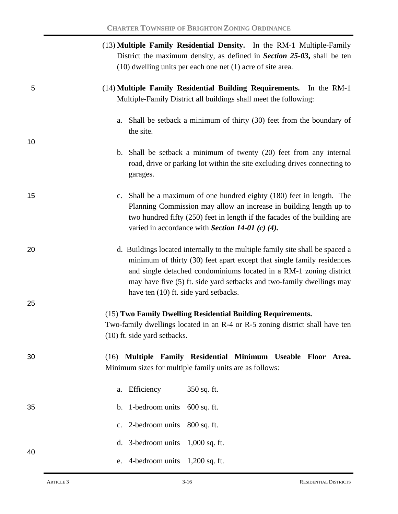|    | (13) Multiple Family Residential Density. In the RM-1 Multiple-Family<br>District the maximum density, as defined in Section 25-03, shall be ten<br>$(10)$ dwelling units per each one net $(1)$ acre of site area.                                                                                                                             |  |  |  |  |  |  |  |
|----|-------------------------------------------------------------------------------------------------------------------------------------------------------------------------------------------------------------------------------------------------------------------------------------------------------------------------------------------------|--|--|--|--|--|--|--|
| 5  | (14) Multiple Family Residential Building Requirements. In the RM-1<br>Multiple-Family District all buildings shall meet the following:                                                                                                                                                                                                         |  |  |  |  |  |  |  |
|    | a. Shall be setback a minimum of thirty (30) feet from the boundary of<br>the site.                                                                                                                                                                                                                                                             |  |  |  |  |  |  |  |
| 10 | b. Shall be setback a minimum of twenty (20) feet from any internal<br>road, drive or parking lot within the site excluding drives connecting to<br>garages.                                                                                                                                                                                    |  |  |  |  |  |  |  |
| 15 | c. Shall be a maximum of one hundred eighty (180) feet in length. The<br>Planning Commission may allow an increase in building length up to<br>two hundred fifty (250) feet in length if the facades of the building are<br>varied in accordance with Section 14-01 (c) (4).                                                                    |  |  |  |  |  |  |  |
| 20 | d. Buildings located internally to the multiple family site shall be spaced a<br>minimum of thirty (30) feet apart except that single family residences<br>and single detached condominiums located in a RM-1 zoning district<br>may have five (5) ft. side yard setbacks and two-family dwellings may<br>have ten (10) ft. side yard setbacks. |  |  |  |  |  |  |  |
| 25 |                                                                                                                                                                                                                                                                                                                                                 |  |  |  |  |  |  |  |
|    | (15) Two Family Dwelling Residential Building Requirements.                                                                                                                                                                                                                                                                                     |  |  |  |  |  |  |  |
|    | Two-family dwellings located in an R-4 or R-5 zoning district shall have ten<br>(10) ft. side yard setbacks.                                                                                                                                                                                                                                    |  |  |  |  |  |  |  |
| 30 | Multiple Family Residential Minimum Useable Floor Area.<br>(16)<br>Minimum sizes for multiple family units are as follows:                                                                                                                                                                                                                      |  |  |  |  |  |  |  |
|    | a. Efficiency<br>350 sq. ft.                                                                                                                                                                                                                                                                                                                    |  |  |  |  |  |  |  |
| 35 | b. 1-bedroom units<br>$600$ sq. ft.                                                                                                                                                                                                                                                                                                             |  |  |  |  |  |  |  |
|    | 2-bedroom units<br>800 sq. ft.<br>$\mathbf{c}$ .                                                                                                                                                                                                                                                                                                |  |  |  |  |  |  |  |
|    | d. 3-bedroom units<br>$1,000$ sq. ft.                                                                                                                                                                                                                                                                                                           |  |  |  |  |  |  |  |
| 40 | 4-bedroom units $1,200$ sq. ft.<br>e.                                                                                                                                                                                                                                                                                                           |  |  |  |  |  |  |  |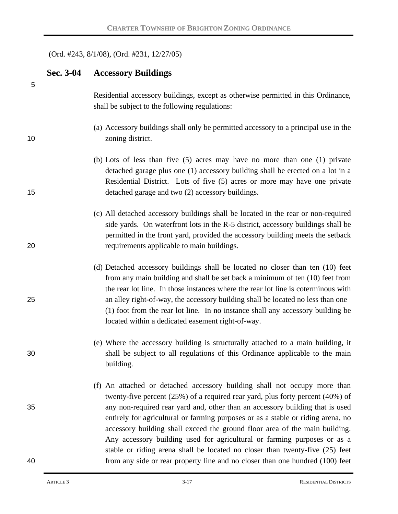### (Ord. #243, 8/1/08), (Ord. #231, 12/27/05)

|    | Sec. 3-04 | <b>Accessory Buildings</b>                                                                                                                                                                                                                                                                                                                                                                                                                                                                  |
|----|-----------|---------------------------------------------------------------------------------------------------------------------------------------------------------------------------------------------------------------------------------------------------------------------------------------------------------------------------------------------------------------------------------------------------------------------------------------------------------------------------------------------|
| 5  |           | Residential accessory buildings, except as otherwise permitted in this Ordinance,<br>shall be subject to the following regulations:                                                                                                                                                                                                                                                                                                                                                         |
| 10 |           | (a) Accessory buildings shall only be permitted accessory to a principal use in the<br>zoning district.                                                                                                                                                                                                                                                                                                                                                                                     |
| 15 |           | (b) Lots of less than five $(5)$ acres may have no more than one $(1)$ private<br>detached garage plus one (1) accessory building shall be erected on a lot in a<br>Residential District. Lots of five (5) acres or more may have one private<br>detached garage and two (2) accessory buildings.                                                                                                                                                                                           |
| 20 |           | (c) All detached accessory buildings shall be located in the rear or non-required<br>side yards. On waterfront lots in the R-5 district, accessory buildings shall be<br>permitted in the front yard, provided the accessory building meets the setback<br>requirements applicable to main buildings.                                                                                                                                                                                       |
| 25 |           | (d) Detached accessory buildings shall be located no closer than ten (10) feet<br>from any main building and shall be set back a minimum of ten (10) feet from<br>the rear lot line. In those instances where the rear lot line is coterminous with<br>an alley right-of-way, the accessory building shall be located no less than one<br>(1) foot from the rear lot line. In no instance shall any accessory building be<br>located within a dedicated easement right-of-way.              |
| 30 |           | (e) Where the accessory building is structurally attached to a main building, it<br>shall be subject to all regulations of this Ordinance applicable to the main<br>building.                                                                                                                                                                                                                                                                                                               |
| 35 |           | (f) An attached or detached accessory building shall not occupy more than<br>twenty-five percent (25%) of a required rear yard, plus forty percent (40%) of<br>any non-required rear yard and, other than an accessory building that is used<br>entirely for agricultural or farming purposes or as a stable or riding arena, no<br>accessory building shall exceed the ground floor area of the main building.<br>Any accessory building used for agricultural or farming purposes or as a |
| 40 |           | stable or riding arena shall be located no closer than twenty-five (25) feet<br>from any side or rear property line and no closer than one hundred (100) feet                                                                                                                                                                                                                                                                                                                               |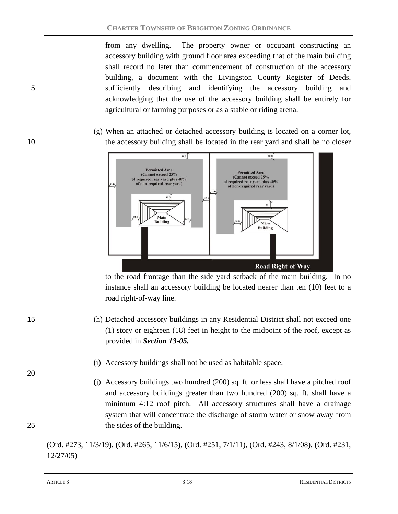from any dwelling. The property owner or occupant constructing an accessory building with ground floor area exceeding that of the main building shall record no later than commencement of construction of the accessory building, a document with the Livingston County Register of Deeds, 5 sufficiently describing and identifying the accessory building and acknowledging that the use of the accessory building shall be entirely for agricultural or farming purposes or as a stable or riding arena.

(g) When an attached or detached accessory building is located on a corner lot, 10 the accessory building shall be located in the rear yard and shall be no closer



to the road frontage than the side yard setback of the main building. In no instance shall an accessory building be located nearer than ten (10) feet to a road right-of-way line.

15 (h) Detached accessory buildings in any Residential District shall not exceed one (1) story or eighteen (18) feet in height to the midpoint of the roof, except as provided in *Section 13-05.*

(i) Accessory buildings shall not be used as habitable space.

(j) Accessory buildings two hundred (200) sq. ft. or less shall have a pitched roof and accessory buildings greater than two hundred (200) sq. ft. shall have a minimum 4:12 roof pitch. All accessory structures shall have a drainage system that will concentrate the discharge of storm water or snow away from 25 the sides of the building.

(Ord. #273, 11/3/19), (Ord. #265, 11/6/15), (Ord. #251, 7/1/11), (Ord. #243, 8/1/08), (Ord. #231, 12/27/05)



20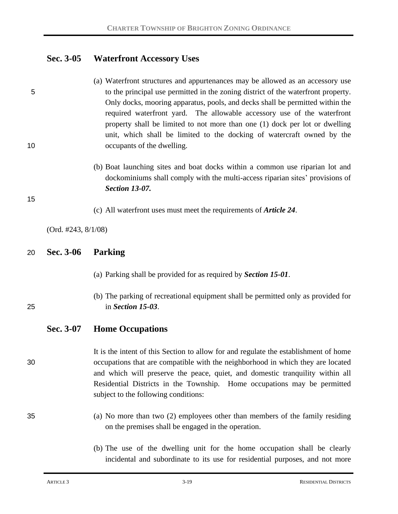# **Sec. 3-05 Waterfront Accessory Uses**

- (a) Waterfront structures and appurtenances may be allowed as an accessory use 5 to the principal use permitted in the zoning district of the waterfront property. Only docks, mooring apparatus, pools, and decks shall be permitted within the required waterfront yard. The allowable accessory use of the waterfront property shall be limited to not more than one (1) dock per lot or dwelling unit, which shall be limited to the docking of watercraft owned by the 10 occupants of the dwelling.
	- (b) Boat launching sites and boat docks within a common use riparian lot and dockominiums shall comply with the multi-access riparian sites' provisions of *Section 13-07.*

15

(c) All waterfront uses must meet the requirements of *Article 24*.

(Ord. #243, 8/1/08)

#### 20 **Sec. 3-06 Parking**

- (a) Parking shall be provided for as required by *Section 15-01*.
- (b) The parking of recreational equipment shall be permitted only as provided for 25 in *Section 15-03*.

## **Sec. 3-07 Home Occupations**

It is the intent of this Section to allow for and regulate the establishment of home 30 occupations that are compatible with the neighborhood in which they are located and which will preserve the peace, quiet, and domestic tranquility within all Residential Districts in the Township. Home occupations may be permitted subject to the following conditions:

- 35 (a) No more than two (2) employees other than members of the family residing on the premises shall be engaged in the operation.
	- (b) The use of the dwelling unit for the home occupation shall be clearly incidental and subordinate to its use for residential purposes, and not more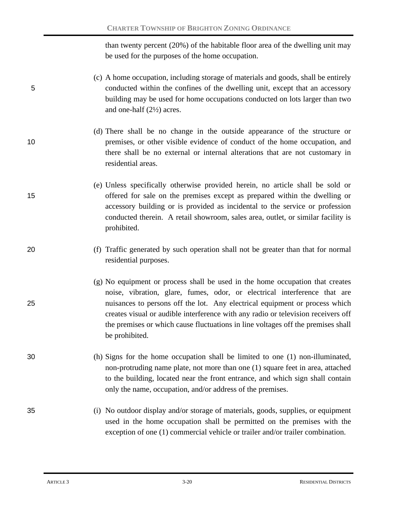than twenty percent (20%) of the habitable floor area of the dwelling unit may be used for the purposes of the home occupation.

- (c) A home occupation, including storage of materials and goods, shall be entirely 5 conducted within the confines of the dwelling unit, except that an accessory building may be used for home occupations conducted on lots larger than two and one-half (2½) acres.
- (d) There shall be no change in the outside appearance of the structure or 10 premises, or other visible evidence of conduct of the home occupation, and there shall be no external or internal alterations that are not customary in residential areas.
- (e) Unless specifically otherwise provided herein, no article shall be sold or 15 offered for sale on the premises except as prepared within the dwelling or accessory building or is provided as incidental to the service or profession conducted therein. A retail showroom, sales area, outlet, or similar facility is prohibited.
- 20 (f) Traffic generated by such operation shall not be greater than that for normal residential purposes.
- (g) No equipment or process shall be used in the home occupation that creates noise, vibration, glare, fumes, odor, or electrical interference that are 25 nuisances to persons off the lot. Any electrical equipment or process which creates visual or audible interference with any radio or television receivers off the premises or which cause fluctuations in line voltages off the premises shall be prohibited.
- 30 (h) Signs for the home occupation shall be limited to one (1) non-illuminated, non-protruding name plate, not more than one (1) square feet in area, attached to the building, located near the front entrance, and which sign shall contain only the name, occupation, and/or address of the premises.
- 35 (i) No outdoor display and/or storage of materials, goods, supplies, or equipment used in the home occupation shall be permitted on the premises with the exception of one (1) commercial vehicle or trailer and/or trailer combination.